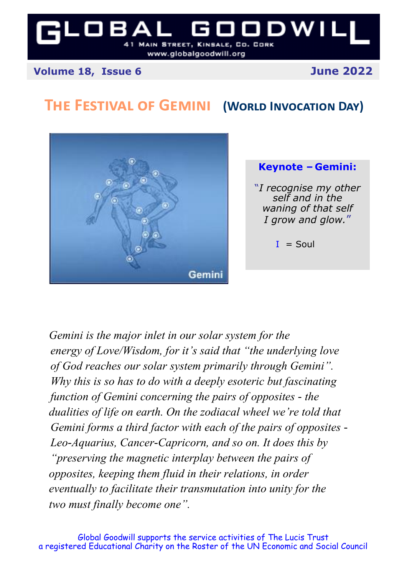#### B 7 H E Ш 41 MAIN STREET, KINSALE, CO. CORK

www.globalgoodwill.org

## **Volume 18, Issue 6 June 2022**

## **The Festival of Gemini (World Invocation Day)**



### **Keynote – Gemini:**

"*I recognise my other self and in the waning of that self I grow and glow.*"

 $I =$  Soul

*Gemini is the major inlet in our solar system for the energy of Love/Wisdom, for it's said that "the underlying love of God reaches our solar system primarily through Gemini". Why this is so has to do with a deeply esoteric but fascinating function of Gemini concerning the pairs of opposites - the dualities of life on earth. On the zodiacal wheel we're told that Gemini forms a third factor with each of the pairs of opposites - Leo-Aquarius, Cancer-Capricorn, and so on. It does this by "preserving the magnetic interplay between the pairs of opposites, keeping them fluid in their relations, in order eventually to facilitate their transmutation into unity for the two must finally become one".*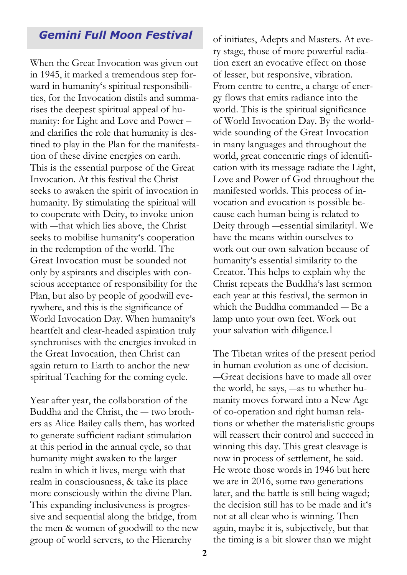## *Gemini Full Moon Festival*

When the Great Invocation was given out in 1945, it marked a tremendous step forward in humanity's spiritual responsibilities, for the Invocation distils and summarises the deepest spiritual appeal of humanity: for Light and Love and Power – and clarifies the role that humanity is destined to play in the Plan for the manifestation of these divine energies on earth. This is the essential purpose of the Great Invocation. At this festival the Christ seeks to awaken the spirit of invocation in humanity. By stimulating the spiritual will to cooperate with Deity, to invoke union with ―that which lies above, the Christ seeks to mobilise humanity's cooperation in the redemption of the world. The Great Invocation must be sounded not only by aspirants and disciples with conscious acceptance of responsibility for the Plan, but also by people of goodwill everywhere, and this is the significance of World Invocation Day. When humanity's heartfelt and clear-headed aspiration truly synchronises with the energies invoked in the Great Invocation, then Christ can again return to Earth to anchor the new spiritual Teaching for the coming cycle.

Year after year, the collaboration of the Buddha and the Christ, the ― two brothers as Alice Bailey calls them, has worked to generate sufficient radiant stimulation at this period in the annual cycle, so that humanity might awaken to the larger realm in which it lives, merge with that realm in consciousness, & take its place more consciously within the divine Plan. This expanding inclusiveness is progressive and sequential along the bridge, from the men & women of goodwill to the new group of world servers, to the Hierarchy

of initiates, Adepts and Masters. At every stage, those of more powerful radiation exert an evocative effect on those of lesser, but responsive, vibration. From centre to centre, a charge of energy flows that emits radiance into the world. This is the spiritual significance of World Invocation Day. By the worldwide sounding of the Great Invocation in many languages and throughout the world, great concentric rings of identification with its message radiate the Light, Love and Power of God throughout the manifested worlds. This process of invocation and evocation is possible because each human being is related to Deity through ―essential similarity‖. We have the means within ourselves to work out our own salvation because of humanity's essential similarity to the Creator. This helps to explain why the Christ repeats the Buddha's last sermon each year at this festival, the sermon in which the Buddha commanded ― Be a lamp unto your own feet. Work out your salvation with diligence.‖

The Tibetan writes of the present period in human evolution as one of decision. ―Great decisions have to made all over the world, he says, ―as to whether humanity moves forward into a New Age of co-operation and right human relations or whether the materialistic groups will reassert their control and succeed in winning this day. This great cleavage is now in process of settlement, he said. He wrote those words in 1946 but here we are in 2016, some two generations later, and the battle is still being waged; the decision still has to be made and it's not at all clear who is winning. Then again, maybe it is, subjectively, but that the timing is a bit slower than we might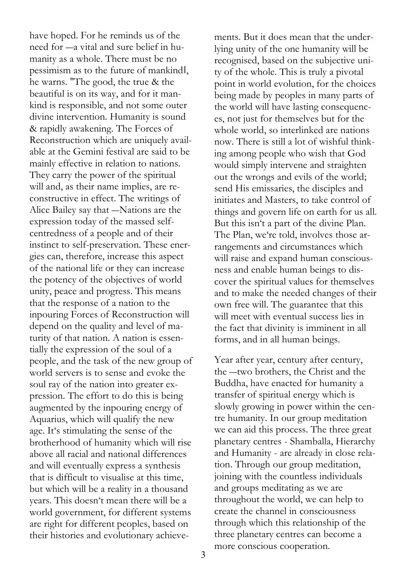have hoped. For he reminds us of the need for ―a vital and sure belief in humanity as a whole. There must be no pessimism as to the future of mankind‖, he warns. "The good, the true & the beautiful is on its way, and for it mankind is responsible, and not some outer divine intervention. Humanity is sound & rapidly awakening. The Forces of Reconstruction which are uniquely available at the Gemini festival are said to be mainly effective in relation to nations. They carry the power of the spiritual will and, as their name implies, are reconstructive in effect. The writings of Alice Bailey say that ―Nations are the expression today of the massed selfcentredness of a people and of their instinct to self-preservation. These energies can, therefore, increase this aspect of the national life or they can increase the potency of the objectives of world unity, peace and progress. This means that the response of a nation to the inpouring Forces of Reconstruction will depend on the quality and level of maturity of that nation. A nation is essentially the expression of the soul of a people, and the task of the new group of world servers is to sense and evoke the soul ray of the nation into greater expression. The effort to do this is being augmented by the inpouring energy of Aquarius, which will qualify the new age. It's stimulating the sense of the brotherhood of humanity which will rise above all racial and national differences and will eventually express a synthesis that is difficult to visualise at this time, but which will be a reality in a thousand years. This doesn't mean there will be a world government, for different systems are right for different peoples, based on their histories and evolutionary achieve-

ments. But it does mean that the underlying unity of the one humanity will be recognised, based on the subjective unity of the whole. This is truly a pivotal point in world evolution, for the choices being made by peoples in many parts of the world will have lasting consequences, not just for themselves but for the whole world, so interlinked are nations now. There is still a lot of wishful thinking among people who wish that God would simply intervene and straighten out the wrongs and evils of the world; send His emissaries, the disciples and initiates and Masters, to take control of things and govern life on earth for us all. But this isn't a part of the divine Plan. The Plan, we're told, involves those arrangements and circumstances which will raise and expand human consciousness and enable human beings to discover the spiritual values for themselves and to make the needed changes of their own free will. The guarantee that this will meet with eventual success lies in the fact that divinity is imminent in all forms, and in all human beings.

Year after year, century after century, the ―two brothers, the Christ and the Buddha, have enacted for humanity a transfer of spiritual energy which is slowly growing in power within the centre humanity. In our group meditation we can aid this process. The three great planetary centres - Shamballa, Hierarchy and Humanity - are already in close relation. Through our group meditation, joining with the countless individuals and groups meditating as we are throughout the world, we can help to create the channel in consciousness through which this relationship of the three planetary centres can become a more conscious cooperation.